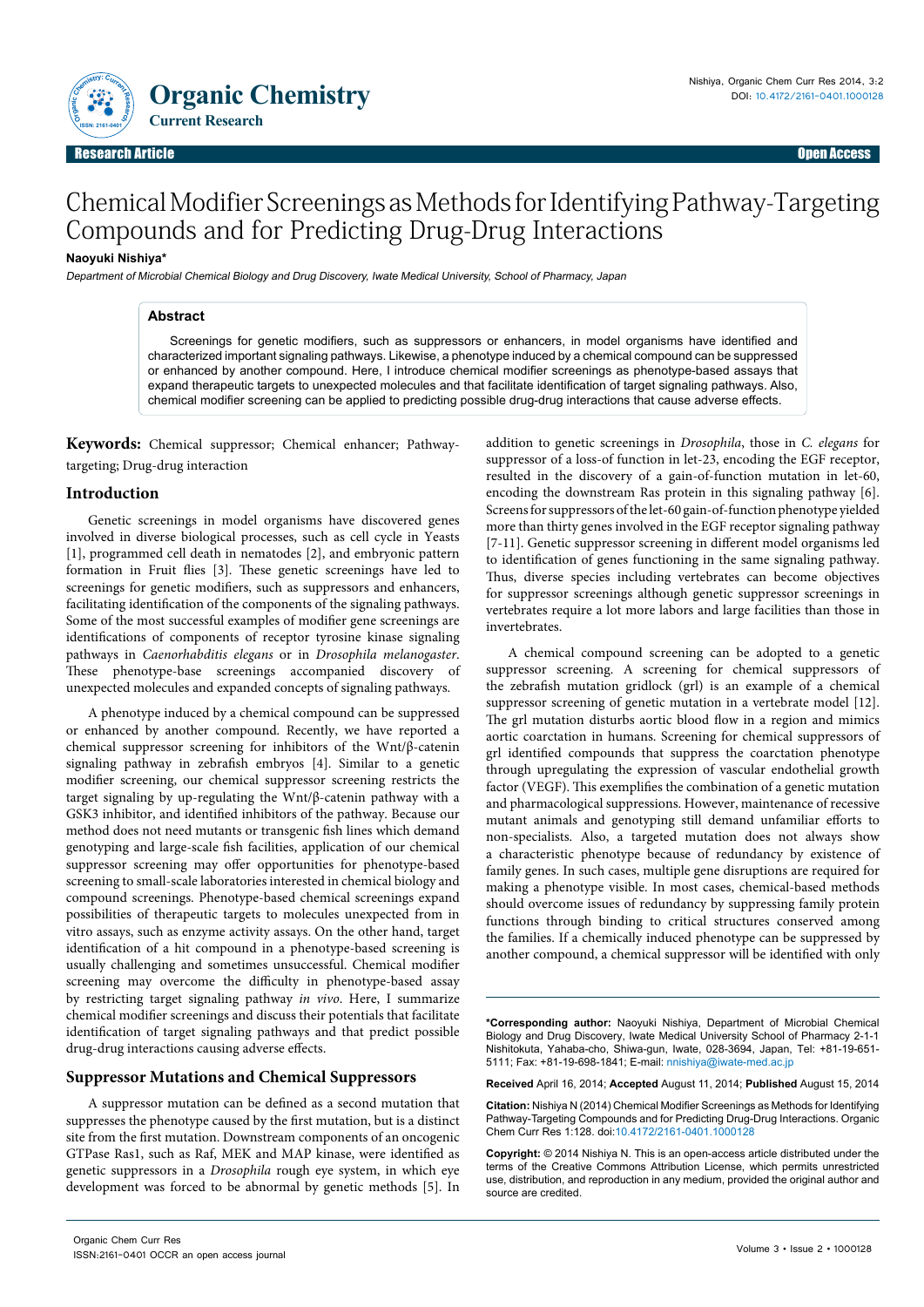

# Chemical Modifier Screenings as Methods for Identifying Pathway-Targeting Compounds and for Predicting Drug-Drug Interactions

### **Naoyuki Nishiya\***

Department of Microbial Chemical Biology and Drug Discovery, Iwate Medical University, School of Pharmacy, Japan

### **Abstract**

Screenings for genetic modifiers, such as suppressors or enhancers, in model organisms have identified and characterized important signaling pathways. Likewise, a phenotype induced by a chemical compound can be suppressed or enhanced by another compound. Here, I introduce chemical modifier screenings as phenotype-based assays that expand therapeutic targets to unexpected molecules and that facilitate identification of target signaling pathways. Also, chemical modifier screening can be applied to predicting possible drug-drug interactions that cause adverse effects.

**Keywords:** Chemical suppressor; Chemical enhancer; Pathwaytargeting; Drug-drug interaction

#### **Introduction**

Genetic screenings in model organisms have discovered genes involved in diverse biological processes, such as cell cycle in Yeasts [1], programmed cell death in nematodes [2], and embryonic pattern formation in Fruit flies [3]. These genetic screenings have led to screenings for genetic modifiers, such as suppressors and enhancers, facilitating identification of the components of the signaling pathways. Some of the most successful examples of modifier gene screenings are identifications of components of receptor tyrosine kinase signaling pathways in *Caenorhabditis elegans* or in *Drosophila melanogaster*. These phenotype-base screenings accompanied discovery of unexpected molecules and expanded concepts of signaling pathways.

A phenotype induced by a chemical compound can be suppressed or enhanced by another compound. Recently, we have reported a chemical suppressor screening for inhibitors of the Wnt/β-catenin signaling pathway in zebrafish embryos [4]. Similar to a genetic modifier screening, our chemical suppressor screening restricts the target signaling by up-regulating the Wnt/β-catenin pathway with a GSK3 inhibitor, and identified inhibitors of the pathway. Because our method does not need mutants or transgenic fish lines which demand genotyping and large-scale fish facilities, application of our chemical suppressor screening may offer opportunities for phenotype-based screening to small-scale laboratories interested in chemical biology and compound screenings. Phenotype-based chemical screenings expand possibilities of therapeutic targets to molecules unexpected from in vitro assays, such as enzyme activity assays. On the other hand, target identification of a hit compound in a phenotype-based screening is usually challenging and sometimes unsuccessful. Chemical modifier screening may overcome the difficulty in phenotype-based assay by restricting target signaling pathway *in vivo*. Here, I summarize chemical modifier screenings and discuss their potentials that facilitate identification of target signaling pathways and that predict possible drug-drug interactions causing adverse effects.

# **Suppressor Mutations and Chemical Suppressors**

A suppressor mutation can be defined as a second mutation that suppresses the phenotype caused by the first mutation, but is a distinct site from the first mutation. Downstream components of an oncogenic GTPase Ras1, such as Raf, MEK and MAP kinase, were identified as genetic suppressors in a *Drosophila* rough eye system, in which eye development was forced to be abnormal by genetic methods [5]. In

addition to genetic screenings in *Drosophila*, those in *C. elegans* for suppressor of a loss-of function in let-23, encoding the EGF receptor, resulted in the discovery of a gain-of-function mutation in let-60, encoding the downstream Ras protein in this signaling pathway [6]. Screens for suppressors of the let-60 gain-of-function phenotype yielded more than thirty genes involved in the EGF receptor signaling pathway [7-11]. Genetic suppressor screening in different model organisms led to identification of genes functioning in the same signaling pathway. Thus, diverse species including vertebrates can become objectives for suppressor screenings although genetic suppressor screenings in vertebrates require a lot more labors and large facilities than those in invertebrates.

A chemical compound screening can be adopted to a genetic suppressor screening. A screening for chemical suppressors of the zebrafish mutation gridlock (grl) is an example of a chemical suppressor screening of genetic mutation in a vertebrate model [12]. The grl mutation disturbs aortic blood flow in a region and mimics aortic coarctation in humans. Screening for chemical suppressors of grl identified compounds that suppress the coarctation phenotype through upregulating the expression of vascular endothelial growth factor (VEGF). This exemplifies the combination of a genetic mutation and pharmacological suppressions. However, maintenance of recessive mutant animals and genotyping still demand unfamiliar efforts to non-specialists. Also, a targeted mutation does not always show a characteristic phenotype because of redundancy by existence of family genes. In such cases, multiple gene disruptions are required for making a phenotype visible. In most cases, chemical-based methods should overcome issues of redundancy by suppressing family protein functions through binding to critical structures conserved among the families. If a chemically induced phenotype can be suppressed by another compound, a chemical suppressor will be identified with only

**\*Corresponding author:** Naoyuki Nishiya, Department of Microbial Chemical Biology and Drug Discovery, Iwate Medical University School of Pharmacy 2-1-1 Nishitokuta, Yahaba-cho, Shiwa-gun, Iwate, 028-3694, Japan, Tel: +81-19-651- 5111; Fax: +81-19-698-1841; E-mail: nnishiya@iwate-med.ac.jp

**Received** April 16, 2014; **Accepted** August 11, 2014; **Published** August 15, 2014

**Citation:** Nishiya N (2014) Chemical Modifier Screenings as Methods for Identifying Pathway-Targeting Compounds and for Predicting Drug-Drug Interactions. Organic Chem Curr Res 1:128. doi:10.4172/2161-0401.1000128

**Copyright:** © 2014 Nishiya N. This is an open-access article distributed under the terms of the Creative Commons Attribution License, which permits unrestricted use, distribution, and reproduction in any medium, provided the original author and source are credited.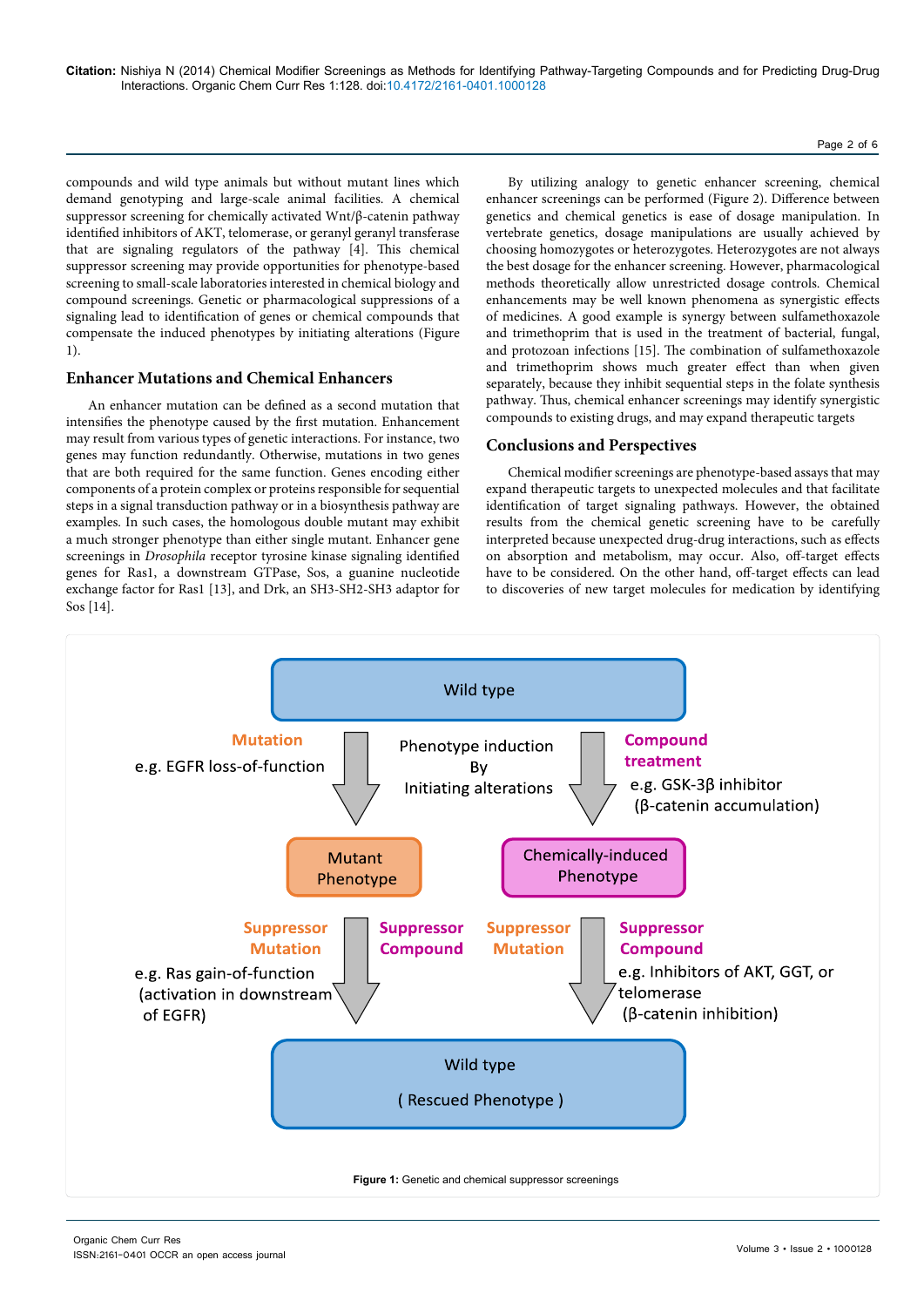## Page 2 of 6

compounds and wild type animals but without mutant lines which demand genotyping and large-scale animal facilities. A chemical suppressor screening for chemically activated Wnt/β-catenin pathway identified inhibitors of AKT, telomerase, or geranyl geranyl transferase that are signaling regulators of the pathway [4]. This chemical suppressor screening may provide opportunities for phenotype-based screening to small-scale laboratories interested in chemical biology and compound screenings. Genetic or pharmacological suppressions of a signaling lead to identification of genes or chemical compounds that compensate the induced phenotypes by initiating alterations (Figure 1).

# **Enhancer Mutations and Chemical Enhancers**

An enhancer mutation can be defined as a second mutation that intensifies the phenotype caused by the first mutation. Enhancement may result from various types of genetic interactions. For instance, two genes may function redundantly. Otherwise, mutations in two genes that are both required for the same function. Genes encoding either components of a protein complex or proteins responsible for sequential steps in a signal transduction pathway or in a biosynthesis pathway are examples. In such cases, the homologous double mutant may exhibit a much stronger phenotype than either single mutant. Enhancer gene screenings in *Drosophila* receptor tyrosine kinase signaling identified genes for Ras1, a downstream GTPase, Sos, a guanine nucleotide exchange factor for Ras1 [13], and Drk, an SH3-SH2-SH3 adaptor for Sos [14].

By utilizing analogy to genetic enhancer screening, chemical enhancer screenings can be performed (Figure 2). Difference between genetics and chemical genetics is ease of dosage manipulation. In vertebrate genetics, dosage manipulations are usually achieved by choosing homozygotes or heterozygotes. Heterozygotes are not always the best dosage for the enhancer screening. However, pharmacological methods theoretically allow unrestricted dosage controls. Chemical enhancements may be well known phenomena as synergistic effects of medicines. A good example is synergy between sulfamethoxazole and trimethoprim that is used in the treatment of bacterial, fungal, and protozoan infections [15]. The combination of sulfamethoxazole and trimethoprim shows much greater effect than when given separately, because they inhibit sequential steps in the folate synthesis pathway. Thus, chemical enhancer screenings may identify synergistic compounds to existing drugs, and may expand therapeutic targets

# **Conclusions and Perspectives**

Chemical modifier screenings are phenotype-based assays that may expand therapeutic targets to unexpected molecules and that facilitate identification of target signaling pathways. However, the obtained results from the chemical genetic screening have to be carefully interpreted because unexpected drug-drug interactions, such as effects on absorption and metabolism, may occur. Also, off-target effects have to be considered. On the other hand, off-target effects can lead to discoveries of new target molecules for medication by identifying